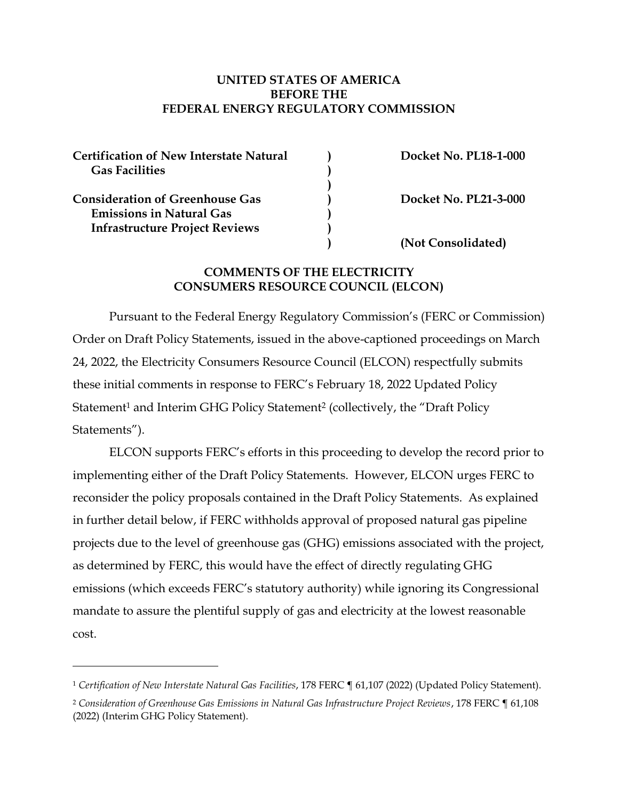#### **UNITED STATES OF AMERICA BEFORE THE FEDERAL ENERGY REGULATORY COMMISSION**

| <b>Certification of New Interstate Natural</b> | <b>Docket No. PL18-1-000</b> |
|------------------------------------------------|------------------------------|
| <b>Gas Facilities</b>                          |                              |
|                                                |                              |
| <b>Consideration of Greenhouse Gas</b>         | <b>Docket No. PL21-3-000</b> |
| <b>Emissions in Natural Gas</b>                |                              |
| <b>Infrastructure Project Reviews</b>          |                              |
|                                                | (Not Consolidated)           |

#### **COMMENTS OF THE ELECTRICITY CONSUMERS RESOURCE COUNCIL (ELCON)**

Pursuant to the Federal Energy Regulatory Commission's (FERC or Commission) Order on Draft Policy Statements, issued in the above-captioned proceedings on March 24, 2022, the Electricity Consumers Resource Council (ELCON) respectfully submits these initial comments in response to FERC's February 18, 2022 Updated Policy Statement<sup>1</sup> and Interim GHG Policy Statement<sup>2</sup> (collectively, the "Draft Policy Statements").

ELCON supports FERC's efforts in this proceeding to develop the record prior to implementing either of the Draft Policy Statements. However, ELCON urges FERC to reconsider the policy proposals contained in the Draft Policy Statements. As explained in further detail below, if FERC withholds approval of proposed natural gas pipeline projects due to the level of greenhouse gas (GHG) emissions associated with the project, as determined by FERC, this would have the effect of directly regulating GHG emissions (which exceeds FERC's statutory authority) while ignoring its Congressional mandate to assure the plentiful supply of gas and electricity at the lowest reasonable cost.

<sup>1</sup> *Certification of New Interstate Natural Gas Facilities*, 178 FERC ¶ 61,107 (2022) (Updated Policy Statement).

<sup>2</sup> *Consideration of Greenhouse Gas Emissions in Natural Gas Infrastructure Project Reviews*, 178 FERC ¶ 61,108 (2022) (Interim GHG Policy Statement).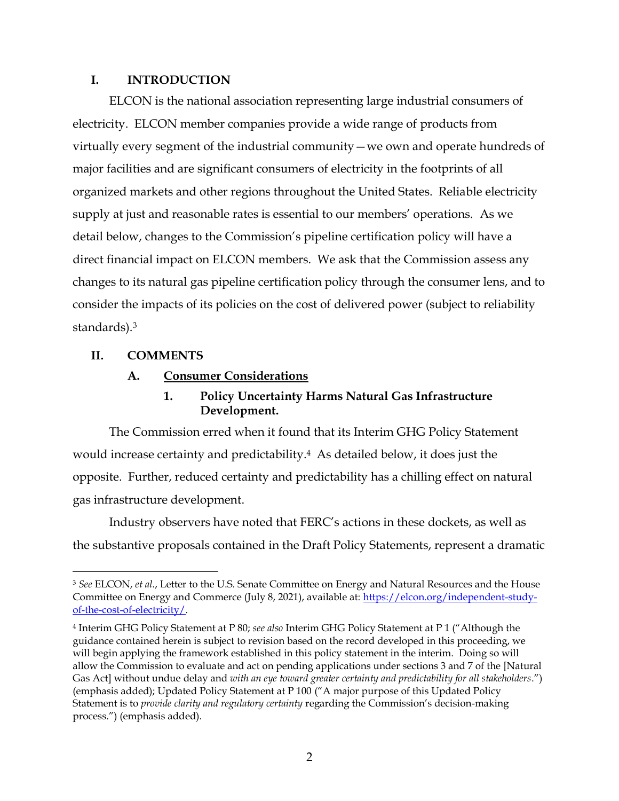### **I. INTRODUCTION**

ELCON is the national association representing large industrial consumers of electricity. ELCON member companies provide a wide range of products from virtually every segment of the industrial community—we own and operate hundreds of major facilities and are significant consumers of electricity in the footprints of all organized markets and other regions throughout the United States. Reliable electricity supply at just and reasonable rates is essential to our members' operations. As we detail below, changes to the Commission's pipeline certification policy will have a direct financial impact on ELCON members. We ask that the Commission assess any changes to its natural gas pipeline certification policy through the consumer lens, and to consider the impacts of its policies on the cost of delivered power (subject to reliability standards). 3

## **II. COMMENTS**

## **A. Consumer Considerations**

# **1. Policy Uncertainty Harms Natural Gas Infrastructure Development.**

The Commission erred when it found that its Interim GHG Policy Statement would increase certainty and predictability.4 As detailed below, it does just the opposite. Further, reduced certainty and predictability has a chilling effect on natural gas infrastructure development.

Industry observers have noted that FERC's actions in these dockets, as well as the substantive proposals contained in the Draft Policy Statements, represent a dramatic

<sup>3</sup> *See* ELCON, *et al.*, Letter to the U.S. Senate Committee on Energy and Natural Resources and the House Committee on Energy and Commerce (July 8, 2021), available at: [https://elcon.org/independent-study](https://elcon.org/independent-study-of-the-cost-of-electricity/)[of-the-cost-of-electricity/.](https://elcon.org/independent-study-of-the-cost-of-electricity/)

<sup>4</sup> Interim GHG Policy Statement at P 80; *see also* Interim GHG Policy Statement at P 1 ("Although the guidance contained herein is subject to revision based on the record developed in this proceeding, we will begin applying the framework established in this policy statement in the interim. Doing so will allow the Commission to evaluate and act on pending applications under sections 3 and 7 of the [Natural Gas Act] without undue delay and *with an eye toward greater certainty and predictability for all stakeholders*.") (emphasis added); Updated Policy Statement at P 100 ("A major purpose of this Updated Policy Statement is to *provide clarity and regulatory certainty* regarding the Commission's decision-making process.") (emphasis added).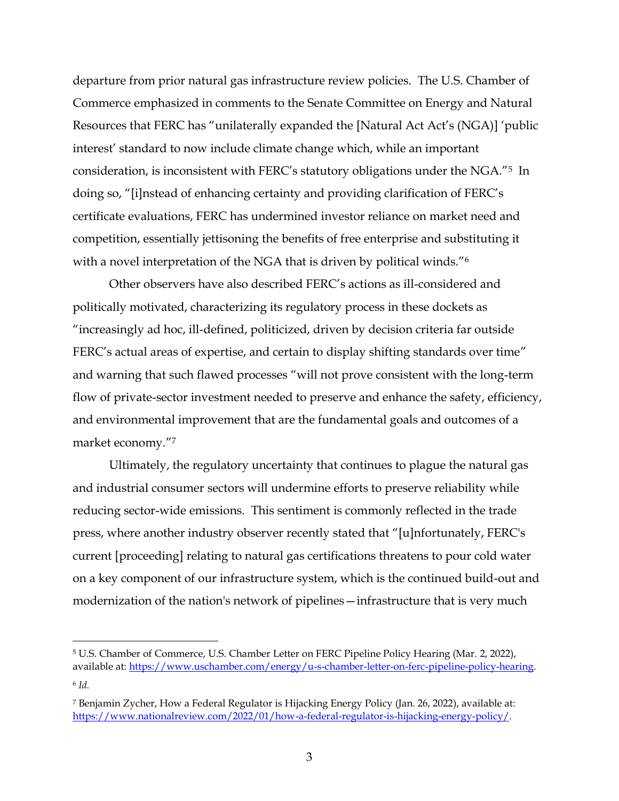departure from prior natural gas infrastructure review policies. The U.S. Chamber of Commerce emphasized in comments to the Senate Committee on Energy and Natural Resources that FERC has "unilaterally expanded the [Natural Act Act's (NGA)] 'public interest' standard to now include climate change which, while an important consideration, is inconsistent with FERC's statutory obligations under the NGA."5 In doing so, "[i]nstead of enhancing certainty and providing clarification of FERC's certificate evaluations, FERC has undermined investor reliance on market need and competition, essentially jettisoning the benefits of free enterprise and substituting it with a novel interpretation of the NGA that is driven by political winds."<sup>6</sup>

Other observers have also described FERC's actions as ill-considered and politically motivated, characterizing its regulatory process in these dockets as "increasingly ad hoc, ill-defined, politicized, driven by decision criteria far outside FERC's actual areas of expertise, and certain to display shifting standards over time" and warning that such flawed processes "will not prove consistent with the long-term flow of private-sector investment needed to preserve and enhance the safety, efficiency, and environmental improvement that are the fundamental goals and outcomes of a market economy."<sup>7</sup>

Ultimately, the regulatory uncertainty that continues to plague the natural gas and industrial consumer sectors will undermine efforts to preserve reliability while reducing sector-wide emissions. This sentiment is commonly reflected in the trade press, where another industry observer recently stated that "[u]nfortunately, FERC's current [proceeding] relating to natural gas certifications threatens to pour cold water on a key component of our infrastructure system, which is the continued build-out and modernization of the nation's network of pipelines—infrastructure that is very much

<sup>5</sup> U.S. Chamber of Commerce, U.S. Chamber Letter on FERC Pipeline Policy Hearing (Mar. 2, 2022), available at[: https://www.uschamber.com/energy/u-s-chamber-letter-on-ferc-pipeline-policy-hearing.](https://www.uschamber.com/energy/u-s-chamber-letter-on-ferc-pipeline-policy-hearing)

<sup>6</sup> *Id.*

<sup>7</sup> Benjamin Zycher, How a Federal Regulator is Hijacking Energy Policy (Jan. 26, 2022), available at: [https://www.nationalreview.com/2022/01/how-a-federal-regulator-is-hijacking-energy-policy/.](https://www.nationalreview.com/2022/01/how-a-federal-regulator-is-hijacking-energy-policy/)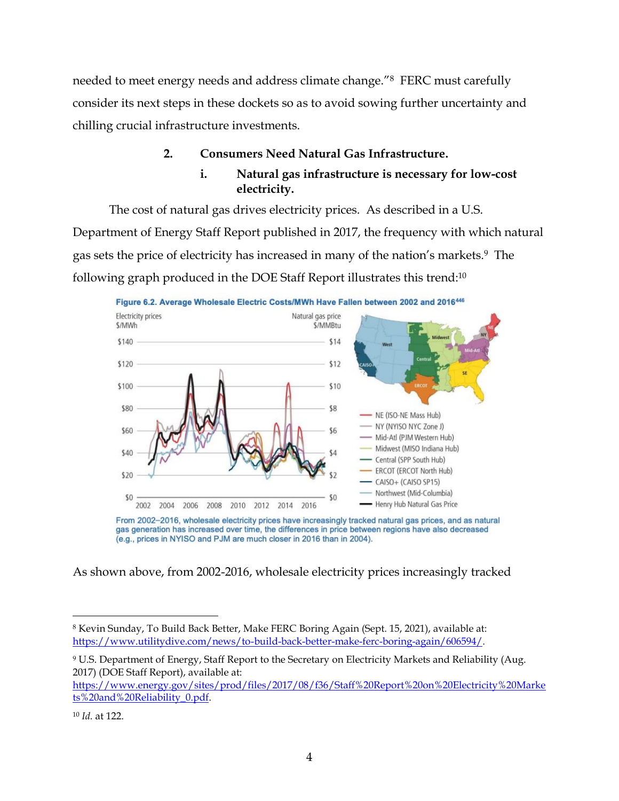needed to meet energy needs and address climate change."8 FERC must carefully consider its next steps in these dockets so as to avoid sowing further uncertainty and chilling crucial infrastructure investments.

# **2. Consumers Need Natural Gas Infrastructure.**

# **i. Natural gas infrastructure is necessary for low-cost electricity.**

The cost of natural gas drives electricity prices. As described in a U.S. Department of Energy Staff Report published in 2017, the frequency with which natural gas sets the price of electricity has increased in many of the nation's markets.9 The following graph produced in the DOE Staff Report illustrates this trend:<sup>10</sup>



From 2002-2016, wholesale electricity prices have increasingly tracked natural gas prices, and as natural gas generation has increased over time, the differences in price between regions have also decreased (e.g., prices in NYISO and PJM are much closer in 2016 than in 2004).

As shown above, from 2002-2016, wholesale electricity prices increasingly tracked

[https://www.energy.gov/sites/prod/files/2017/08/f36/Staff%20Report%20on%20Electricity%20Marke](https://www.energy.gov/sites/prod/files/2017/08/f36/Staff%20Report%20on%20Electricity%20Markets%20and%20Reliability_0.pdf) [ts%20and%20Reliability\\_0.pdf.](https://www.energy.gov/sites/prod/files/2017/08/f36/Staff%20Report%20on%20Electricity%20Markets%20and%20Reliability_0.pdf)

<sup>8</sup> Kevin Sunday, To Build Back Better, Make FERC Boring Again (Sept. 15, 2021), available at: [https://www.utilitydive.com/news/to-build-back-better-make-ferc-boring-again/606594/.](https://www.utilitydive.com/news/to-build-back-better-make-ferc-boring-again/606594/) 

<sup>9</sup> U.S. Department of Energy, Staff Report to the Secretary on Electricity Markets and Reliability (Aug. 2017) (DOE Staff Report), available at:

<sup>10</sup> *Id.* at 122.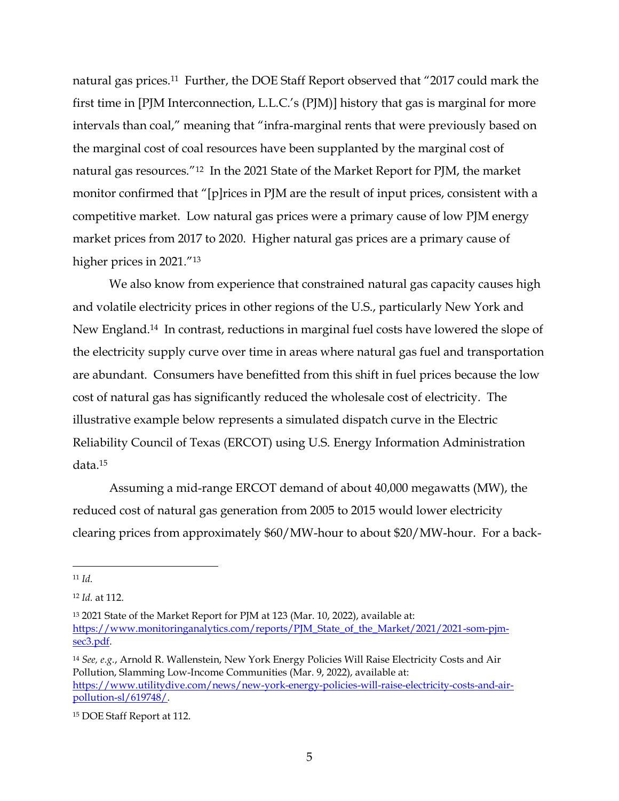natural gas prices.11 Further, the DOE Staff Report observed that "2017 could mark the first time in [PJM Interconnection, L.L.C.'s (PJM)] history that gas is marginal for more intervals than coal," meaning that "infra-marginal rents that were previously based on the marginal cost of coal resources have been supplanted by the marginal cost of natural gas resources."12 In the 2021 State of the Market Report for PJM, the market monitor confirmed that "[p]rices in PJM are the result of input prices, consistent with a competitive market. Low natural gas prices were a primary cause of low PJM energy market prices from 2017 to 2020. Higher natural gas prices are a primary cause of higher prices in 2021."<sup>13</sup>

We also know from experience that constrained natural gas capacity causes high and volatile electricity prices in other regions of the U.S., particularly New York and New England.14 In contrast, reductions in marginal fuel costs have lowered the slope of the electricity supply curve over time in areas where natural gas fuel and transportation are abundant. Consumers have benefitted from this shift in fuel prices because the low cost of natural gas has significantly reduced the wholesale cost of electricity. The illustrative example below represents a simulated dispatch curve in the Electric Reliability Council of Texas (ERCOT) using U.S. Energy Information Administration data. 15

Assuming a mid-range ERCOT demand of about 40,000 megawatts (MW), the reduced cost of natural gas generation from 2005 to 2015 would lower electricity clearing prices from approximately \$60/MW-hour to about \$20/MW-hour. For a back-

<sup>11</sup> *Id.*

<sup>12</sup> *Id.* at 112.

<sup>13</sup> 2021 State of the Market Report for PJM at 123 (Mar. 10, 2022), available at: [https://www.monitoringanalytics.com/reports/PJM\\_State\\_of\\_the\\_Market/2021/2021-som-pjm](https://www.monitoringanalytics.com/reports/PJM_State_of_the_Market/2021/2021-som-pjm-sec3.pdf)[sec3.pdf.](https://www.monitoringanalytics.com/reports/PJM_State_of_the_Market/2021/2021-som-pjm-sec3.pdf) 

<sup>14</sup> *See, e.g.*, Arnold R. Wallenstein, New York Energy Policies Will Raise Electricity Costs and Air Pollution, Slamming Low-Income Communities (Mar. 9, 2022), available at: [https://www.utilitydive.com/news/new-york-energy-policies-will-raise-electricity-costs-and-air](https://www.utilitydive.com/news/new-york-energy-policies-will-raise-electricity-costs-and-air-pollution-sl/619748/)[pollution-sl/619748/.](https://www.utilitydive.com/news/new-york-energy-policies-will-raise-electricity-costs-and-air-pollution-sl/619748/)

<sup>15</sup> DOE Staff Report at 112.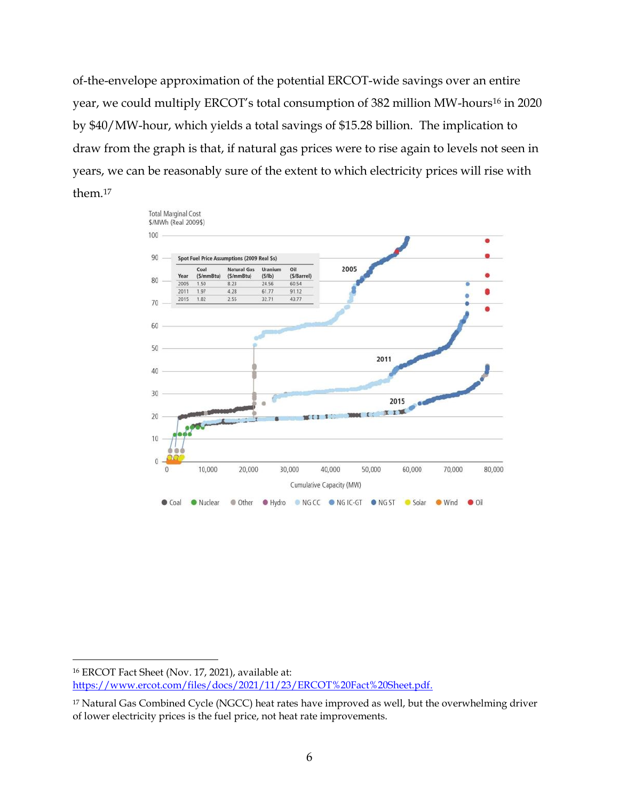of-the-envelope approximation of the potential ERCOT-wide savings over an entire year, we could multiply ERCOT's total consumption of 382 million MW-hours<sup>16</sup> in 2020 by \$40/MW-hour, which yields a total savings of \$15.28 billion. The implication to draw from the graph is that, if natural gas prices were to rise again to levels not seen in years, we can be reasonably sure of the extent to which electricity prices will rise with them.<sup>17</sup>



<sup>16</sup> ERCOT Fact Sheet (Nov. 17, 2021), available at: [https://www.ercot.com/files/docs/2021/11/23/ERCOT%20Fact%20Sheet.pdf.](https://www.ercot.com/files/docs/2021/11/23/ERCOT%20Fact%20Sheet.pdf)

<sup>&</sup>lt;sup>17</sup> Natural Gas Combined Cycle (NGCC) heat rates have improved as well, but the overwhelming driver of lower electricity prices is the fuel price, not heat rate improvements.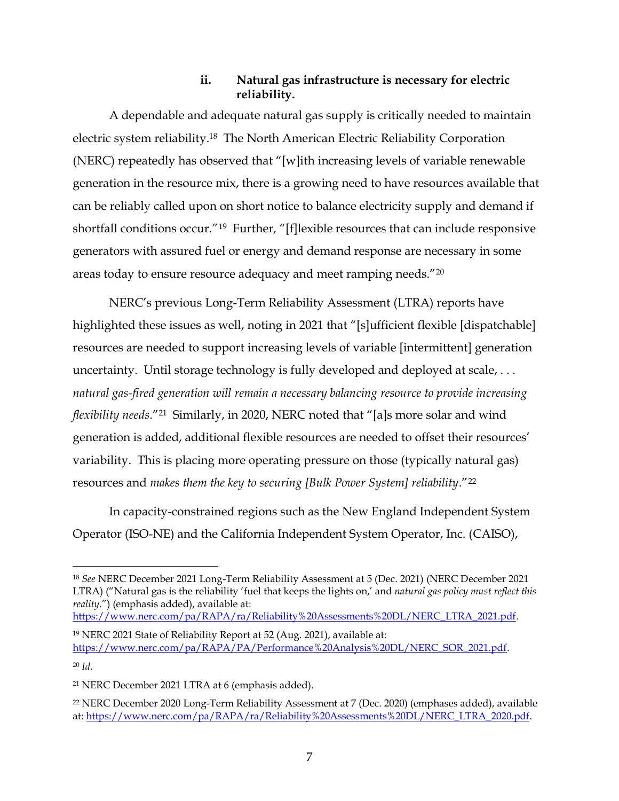## **ii. Natural gas infrastructure is necessary for electric reliability.**

A dependable and adequate natural gas supply is critically needed to maintain electric system reliability.<sup>18</sup> The North American Electric Reliability Corporation (NERC) repeatedly has observed that "[w]ith increasing levels of variable renewable generation in the resource mix, there is a growing need to have resources available that can be reliably called upon on short notice to balance electricity supply and demand if shortfall conditions occur."19 Further, "[f]lexible resources that can include responsive generators with assured fuel or energy and demand response are necessary in some areas today to ensure resource adequacy and meet ramping needs."<sup>20</sup>

NERC's previous Long-Term Reliability Assessment (LTRA) reports have highlighted these issues as well, noting in 2021 that "[s]ufficient flexible [dispatchable] resources are needed to support increasing levels of variable [intermittent] generation uncertainty. Until storage technology is fully developed and deployed at scale, ... *natural gas-fired generation will remain a necessary balancing resource to provide increasing flexibility needs*."<sup>21</sup> Similarly, in 2020, NERC noted that "[a]s more solar and wind generation is added, additional flexible resources are needed to offset their resources' variability. This is placing more operating pressure on those (typically natural gas) resources and *makes them the key to securing [Bulk Power System] reliability*."<sup>22</sup>

In capacity-constrained regions such as the New England Independent System Operator (ISO-NE) and the California Independent System Operator, Inc. (CAISO),

[https://www.nerc.com/pa/RAPA/ra/Reliability%20Assessments%20DL/NERC\\_LTRA\\_2021.pdf.](https://www.nerc.com/pa/RAPA/ra/Reliability%20Assessments%20DL/NERC_LTRA_2021.pdf)

<sup>20</sup> *Id.* 

<sup>18</sup> *See* NERC December 2021 Long-Term Reliability Assessment at 5 (Dec. 2021) (NERC December 2021 LTRA) ("Natural gas is the reliability 'fuel that keeps the lights on,' and *natural gas policy must reflect this reality*.") (emphasis added), available at:

<sup>19</sup> NERC 2021 State of Reliability Report at 52 (Aug. 2021), available at: [https://www.nerc.com/pa/RAPA/PA/Performance%20Analysis%20DL/NERC\\_SOR\\_2021.pdf.](https://www.nerc.com/pa/RAPA/PA/Performance%20Analysis%20DL/NERC_SOR_2021.pdf)

<sup>21</sup> NERC December 2021 LTRA at 6 (emphasis added).

<sup>22</sup> NERC December 2020 Long-Term Reliability Assessment at 7 (Dec. 2020) (emphases added), available at: [https://www.nerc.com/pa/RAPA/ra/Reliability%20Assessments%20DL/NERC\\_LTRA\\_2020.pdf.](https://www.nerc.com/pa/RAPA/ra/Reliability%20Assessments%20DL/NERC_LTRA_2020.pdf)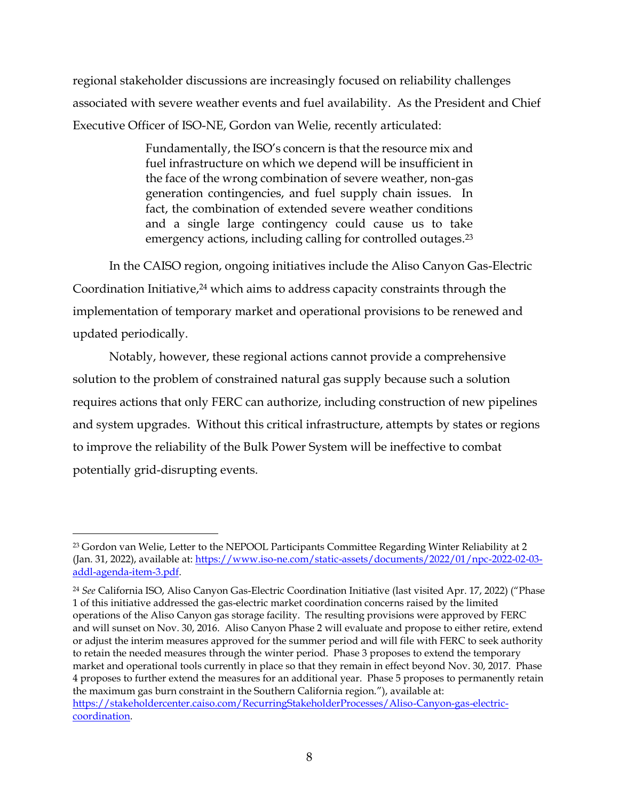regional stakeholder discussions are increasingly focused on reliability challenges associated with severe weather events and fuel availability. As the President and Chief Executive Officer of ISO-NE, Gordon van Welie, recently articulated:

> Fundamentally, the ISO's concern is that the resource mix and fuel infrastructure on which we depend will be insufficient in the face of the wrong combination of severe weather, non-gas generation contingencies, and fuel supply chain issues. In fact, the combination of extended severe weather conditions and a single large contingency could cause us to take emergency actions, including calling for controlled outages. 23

In the CAISO region, ongoing initiatives include the Aliso Canyon Gas-Electric Coordination Initiative, <sup>24</sup> which aims to address capacity constraints through the implementation of temporary market and operational provisions to be renewed and updated periodically.

Notably, however, these regional actions cannot provide a comprehensive solution to the problem of constrained natural gas supply because such a solution requires actions that only FERC can authorize, including construction of new pipelines and system upgrades. Without this critical infrastructure, attempts by states or regions to improve the reliability of the Bulk Power System will be ineffective to combat potentially grid-disrupting events.

<sup>23</sup> Gordon van Welie, Letter to the NEPOOL Participants Committee Regarding Winter Reliability at 2 (Jan. 31, 2022), available at: [https://www.iso-ne.com/static-assets/documents/2022/01/npc-2022-02-03](https://www.iso-ne.com/static-assets/documents/2022/01/npc-2022-02-03-addl-agenda-item-3.pdf) [addl-agenda-item-3.pdf.](https://www.iso-ne.com/static-assets/documents/2022/01/npc-2022-02-03-addl-agenda-item-3.pdf)

<sup>24</sup> *See* California ISO, Aliso Canyon Gas-Electric Coordination Initiative (last visited Apr. 17, 2022) ("Phase 1 of this initiative addressed the gas-electric market coordination concerns raised by the limited operations of the Aliso Canyon gas storage facility. The resulting provisions were approved by FERC and will sunset on Nov. 30, 2016. Aliso Canyon Phase 2 will evaluate and propose to either retire, extend or adjust the interim measures approved for the summer period and will file with FERC to seek authority to retain the needed measures through the winter period. Phase 3 proposes to extend the temporary market and operational tools currently in place so that they remain in effect beyond Nov. 30, 2017. Phase 4 proposes to further extend the measures for an additional year. Phase 5 proposes to permanently retain the maximum gas burn constraint in the Southern California region."), available at: [https://stakeholdercenter.caiso.com/RecurringStakeholderProcesses/Aliso-Canyon-gas-electric](https://stakeholdercenter.caiso.com/RecurringStakeholderProcesses/Aliso-Canyon-gas-electric-coordination)[coordination.](https://stakeholdercenter.caiso.com/RecurringStakeholderProcesses/Aliso-Canyon-gas-electric-coordination)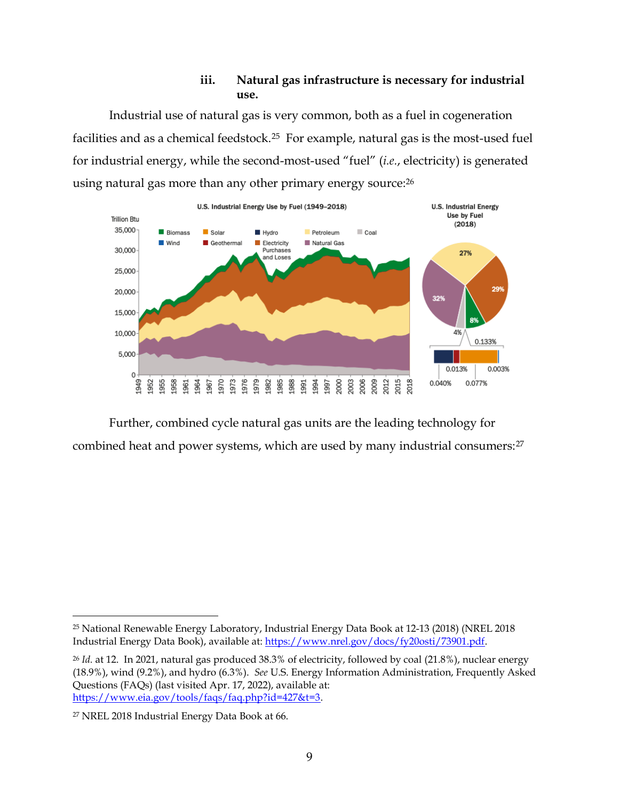## **iii. Natural gas infrastructure is necessary for industrial use.**

Industrial use of natural gas is very common, both as a fuel in cogeneration facilities and as a chemical feedstock.25 For example, natural gas is the most-used fuel for industrial energy, while the second-most-used "fuel" (*i.e.*, electricity) is generated using natural gas more than any other primary energy source:<sup>26</sup>



Further, combined cycle natural gas units are the leading technology for combined heat and power systems, which are used by many industrial consumers:<sup>27</sup>

<sup>25</sup> National Renewable Energy Laboratory, Industrial Energy Data Book at 12-13 (2018) (NREL 2018 Industrial Energy Data Book), available at: [https://www.nrel.gov/docs/fy20osti/73901.pdf.](https://www.nrel.gov/docs/fy20osti/73901.pdf)

<sup>26</sup> *Id.* at 12.In 2021, natural gas produced 38.3% of electricity, followed by coal (21.8%), nuclear energy (18.9%), wind (9.2%), and hydro (6.3%). *See* U.S. Energy Information Administration, Frequently Asked Questions (FAQs) (last visited Apr. 17, 2022), available at: [https://www.eia.gov/tools/faqs/faq.php?id=427&t=3.](https://www.eia.gov/tools/faqs/faq.php?id=427&t=3)

<sup>27</sup> NREL 2018 Industrial Energy Data Book at 66.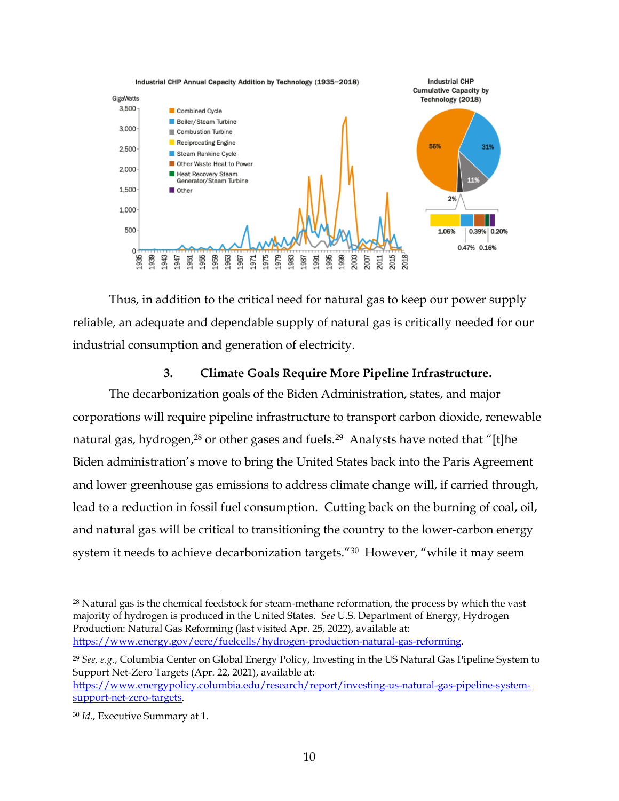

Thus, in addition to the critical need for natural gas to keep our power supply reliable, an adequate and dependable supply of natural gas is critically needed for our industrial consumption and generation of electricity.

#### **3. Climate Goals Require More Pipeline Infrastructure.**

The decarbonization goals of the Biden Administration, states, and major corporations will require pipeline infrastructure to transport carbon dioxide, renewable natural gas, hydrogen,<sup>28</sup> or other gases and fuels.<sup>29</sup> Analysts have noted that "[t]he Biden administration's move to bring the United States back into the Paris Agreement and lower greenhouse gas emissions to address climate change will, if carried through, lead to a reduction in fossil fuel consumption. Cutting back on the burning of coal, oil, and natural gas will be critical to transitioning the country to the lower-carbon energy system it needs to achieve decarbonization targets."<sup>30</sup> However, "while it may seem

<sup>&</sup>lt;sup>28</sup> Natural gas is the chemical feedstock for steam-methane reformation, the process by which the vast majority of hydrogen is produced in the United States. *See* U.S. Department of Energy, Hydrogen Production: Natural Gas Reforming (last visited Apr. 25, 2022), available at: [https://www.energy.gov/eere/fuelcells/hydrogen-production-natural-gas-reforming.](https://www.energy.gov/eere/fuelcells/hydrogen-production-natural-gas-reforming)

<sup>29</sup> *See, e.g.*, Columbia Center on Global Energy Policy, Investing in the US Natural Gas Pipeline System to Support Net-Zero Targets (Apr. 22, 2021), available at: [https://www.energypolicy.columbia.edu/research/report/investing-us-natural-gas-pipeline-system](https://www.energypolicy.columbia.edu/research/report/investing-us-natural-gas-pipeline-system-support-net-zero-targets)[support-net-zero-targets.](https://www.energypolicy.columbia.edu/research/report/investing-us-natural-gas-pipeline-system-support-net-zero-targets)

<sup>30</sup> *Id.*, Executive Summary at 1.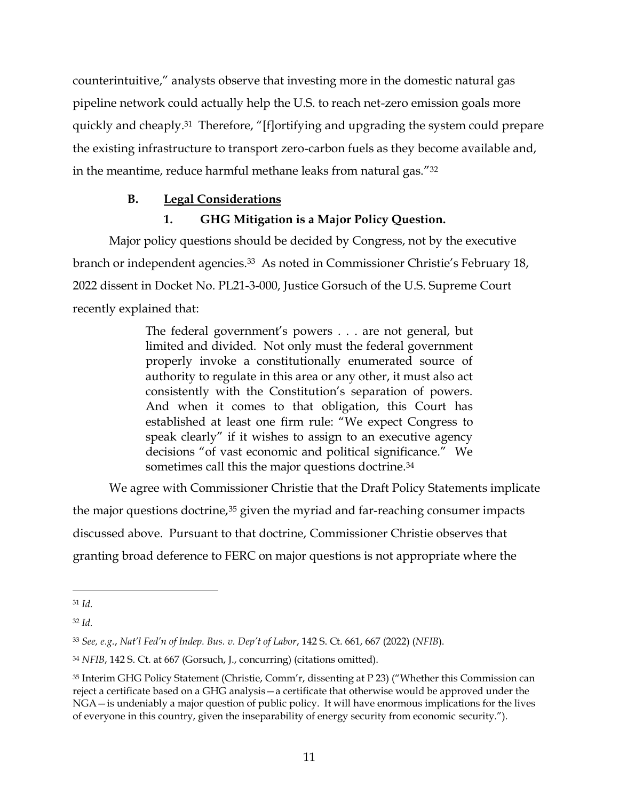counterintuitive," analysts observe that investing more in the domestic natural gas pipeline network could actually help the U.S. to reach net-zero emission goals more quickly and cheaply.<sup>31</sup> Therefore, "[f]ortifying and upgrading the system could prepare the existing infrastructure to transport zero-carbon fuels as they become available and, in the meantime, reduce harmful methane leaks from natural gas."<sup>32</sup>

# **B. Legal Considerations**

# **1. GHG Mitigation is a Major Policy Question.**

Major policy questions should be decided by Congress, not by the executive branch or independent agencies.<sup>33</sup> As noted in Commissioner Christie's February 18, 2022 dissent in Docket No. PL21-3-000, Justice Gorsuch of the U.S. Supreme Court recently explained that:

> The federal government's powers . . . are not general, but limited and divided. Not only must the federal government properly invoke a constitutionally enumerated source of authority to regulate in this area or any other, it must also act consistently with the Constitution's separation of powers. And when it comes to that obligation, this Court has established at least one firm rule: "We expect Congress to speak clearly" if it wishes to assign to an executive agency decisions "of vast economic and political significance." We sometimes call this the major questions doctrine.<sup>34</sup>

We agree with Commissioner Christie that the Draft Policy Statements implicate

the major questions doctrine,<sup>35</sup> given the myriad and far-reaching consumer impacts discussed above. Pursuant to that doctrine, Commissioner Christie observes that granting broad deference to FERC on major questions is not appropriate where the

<sup>31</sup> *Id.*

<sup>32</sup> *Id.*

<sup>33</sup> *See, e.g.*, *Nat'l Fed'n of Indep. Bus. v. Dep't of Labor*, 142 S. Ct. 661, 667 (2022) (*NFIB*).

<sup>34</sup> *NFIB*, 142 S. Ct. at 667 (Gorsuch, J., concurring) (citations omitted).

<sup>35</sup> Interim GHG Policy Statement (Christie, Comm'r, dissenting at P 23) ("Whether this Commission can reject a certificate based on a GHG analysis—a certificate that otherwise would be approved under the NGA—is undeniably a major question of public policy. It will have enormous implications for the lives of everyone in this country, given the inseparability of energy security from economic security.").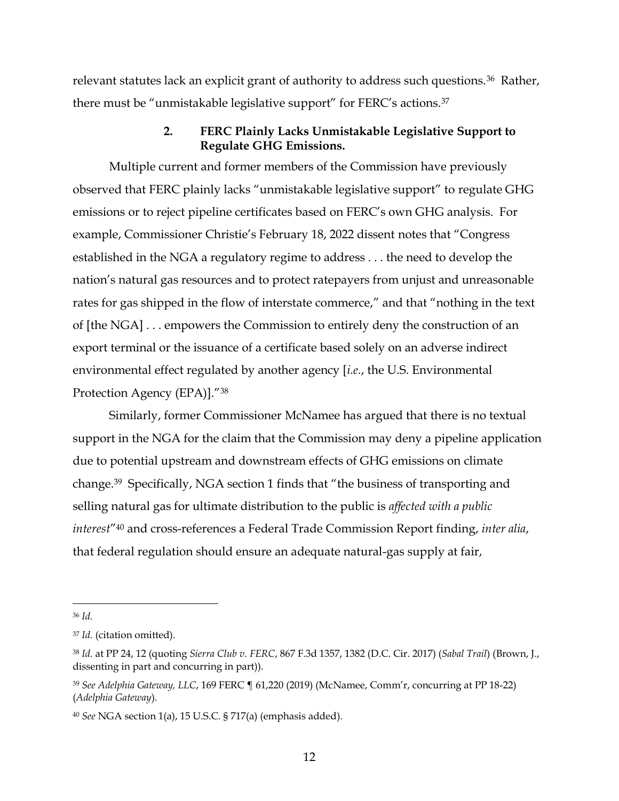relevant statutes lack an explicit grant of authority to address such questions.<sup>36</sup> Rather, there must be "unmistakable legislative support" for FERC's actions.<sup>37</sup>

#### **2. FERC Plainly Lacks Unmistakable Legislative Support to Regulate GHG Emissions.**

Multiple current and former members of the Commission have previously observed that FERC plainly lacks "unmistakable legislative support" to regulate GHG emissions or to reject pipeline certificates based on FERC's own GHG analysis. For example, Commissioner Christie's February 18, 2022 dissent notes that "Congress established in the NGA a regulatory regime to address . . . the need to develop the nation's natural gas resources and to protect ratepayers from unjust and unreasonable rates for gas shipped in the flow of interstate commerce," and that "nothing in the text of [the NGA] . . . empowers the Commission to entirely deny the construction of an export terminal or the issuance of a certificate based solely on an adverse indirect environmental effect regulated by another agency [*i.e.*, the U.S. Environmental Protection Agency (EPA)]."<sup>38</sup>

Similarly, former Commissioner McNamee has argued that there is no textual support in the NGA for the claim that the Commission may deny a pipeline application due to potential upstream and downstream effects of GHG emissions on climate change.39 Specifically, NGA section 1 finds that "the business of transporting and selling natural gas for ultimate distribution to the public is *affected with a public interest*"<sup>40</sup> and cross-references a Federal Trade Commission Report finding, *inter alia*, that federal regulation should ensure an adequate natural-gas supply at fair,

<sup>36</sup> *Id.*

<sup>37</sup> *Id.* (citation omitted).

<sup>38</sup> *Id.* at PP 24, 12 (quoting *Sierra Club v. FERC*, 867 F.3d 1357, 1382 (D.C. Cir. 2017) (*Sabal Trail*) (Brown, J., dissenting in part and concurring in part)).

<sup>39</sup> *See Adelphia Gateway, LLC*, 169 FERC ¶ 61,220 (2019) (McNamee, Comm'r, concurring at PP 18-22) (*Adelphia Gateway*).

<sup>40</sup> *See* NGA section 1(a), 15 U.S.C. § 717(a) (emphasis added).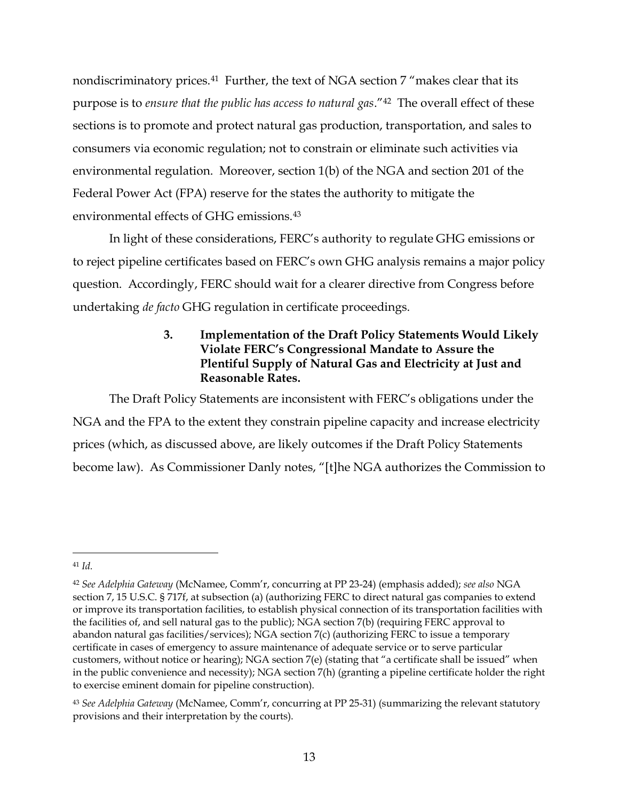nondiscriminatory prices.<sup>41</sup> Further, the text of NGA section 7 "makes clear that its purpose is to *ensure that the public has access to natural gas*."42 The overall effect of these sections is to promote and protect natural gas production, transportation, and sales to consumers via economic regulation; not to constrain or eliminate such activities via environmental regulation. Moreover, section 1(b) of the NGA and section 201 of the Federal Power Act (FPA) reserve for the states the authority to mitigate the environmental effects of GHG emissions.<sup>43</sup>

In light of these considerations, FERC's authority to regulate GHG emissions or to reject pipeline certificates based on FERC's own GHG analysis remains a major policy question. Accordingly, FERC should wait for a clearer directive from Congress before undertaking *de facto* GHG regulation in certificate proceedings.

# **3. Implementation of the Draft Policy Statements Would Likely Violate FERC's Congressional Mandate to Assure the Plentiful Supply of Natural Gas and Electricity at Just and Reasonable Rates.**

The Draft Policy Statements are inconsistent with FERC's obligations under the NGA and the FPA to the extent they constrain pipeline capacity and increase electricity prices (which, as discussed above, are likely outcomes if the Draft Policy Statements become law). As Commissioner Danly notes, "[t]he NGA authorizes the Commission to

<sup>41</sup> *Id.*

<sup>42</sup> *See Adelphia Gateway* (McNamee, Comm'r, concurring at PP 23-24) (emphasis added); *see also* NGA section 7, 15 U.S.C. § 717f, at subsection (a) (authorizing FERC to direct natural gas companies to extend or improve its transportation facilities, to establish physical connection of its transportation facilities with the facilities of, and sell natural gas to the public); NGA section 7(b) (requiring FERC approval to abandon natural gas facilities/services); NGA section 7(c) (authorizing FERC to issue a temporary certificate in cases of emergency to assure maintenance of adequate service or to serve particular customers, without notice or hearing); NGA section 7(e) (stating that "a certificate shall be issued" when in the public convenience and necessity); NGA section 7(h) (granting a pipeline certificate holder the right to exercise eminent domain for pipeline construction).

<sup>43</sup> *See Adelphia Gateway* (McNamee, Comm'r, concurring at PP 25-31) (summarizing the relevant statutory provisions and their interpretation by the courts).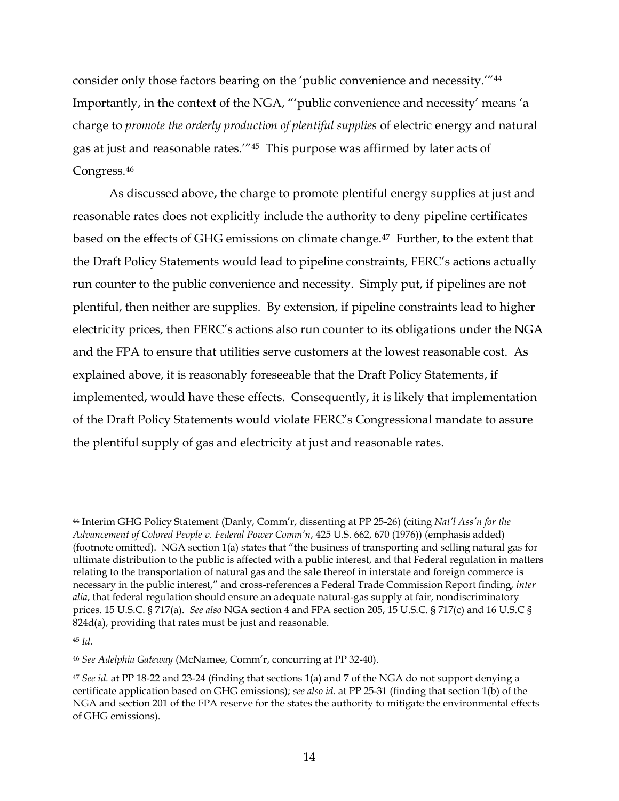consider only those factors bearing on the 'public convenience and necessity.'"<sup>44</sup> Importantly, in the context of the NGA, "'public convenience and necessity' means 'a charge to *promote the orderly production of plentiful supplies* of electric energy and natural gas at just and reasonable rates.'"45 This purpose was affirmed by later acts of Congress.<sup>46</sup>

As discussed above, the charge to promote plentiful energy supplies at just and reasonable rates does not explicitly include the authority to deny pipeline certificates based on the effects of GHG emissions on climate change.47 Further, to the extent that the Draft Policy Statements would lead to pipeline constraints, FERC's actions actually run counter to the public convenience and necessity. Simply put, if pipelines are not plentiful, then neither are supplies. By extension, if pipeline constraints lead to higher electricity prices, then FERC's actions also run counter to its obligations under the NGA and the FPA to ensure that utilities serve customers at the lowest reasonable cost. As explained above, it is reasonably foreseeable that the Draft Policy Statements, if implemented, would have these effects. Consequently, it is likely that implementation of the Draft Policy Statements would violate FERC's Congressional mandate to assure the plentiful supply of gas and electricity at just and reasonable rates.

<sup>44</sup> Interim GHG Policy Statement (Danly, Comm'r, dissenting at PP 25-26) (citing *Nat'l Ass'n for the Advancement of Colored People v. Federal Power Comm'n*, 425 U.S. 662, 670 (1976)) (emphasis added) (footnote omitted). NGA section 1(a) states that "the business of transporting and selling natural gas for ultimate distribution to the public is affected with a public interest, and that Federal regulation in matters relating to the transportation of natural gas and the sale thereof in interstate and foreign commerce is necessary in the public interest," and cross-references a Federal Trade Commission Report finding, *inter alia*, that federal regulation should ensure an adequate natural-gas supply at fair, nondiscriminatory prices. 15 U.S.C. § 717(a). *See also* NGA section 4 and FPA section 205, 15 U.S.C. § 717(c) and 16 U.S.C § 824d(a), providing that rates must be just and reasonable.

<sup>45</sup> *Id.*

<sup>46</sup> *See Adelphia Gateway* (McNamee, Comm'r, concurring at PP 32-40).

<sup>47</sup> *See id.* at PP 18-22 and 23-24 (finding that sections 1(a) and 7 of the NGA do not support denying a certificate application based on GHG emissions); *see also id.* at PP 25-31 (finding that section 1(b) of the NGA and section 201 of the FPA reserve for the states the authority to mitigate the environmental effects of GHG emissions).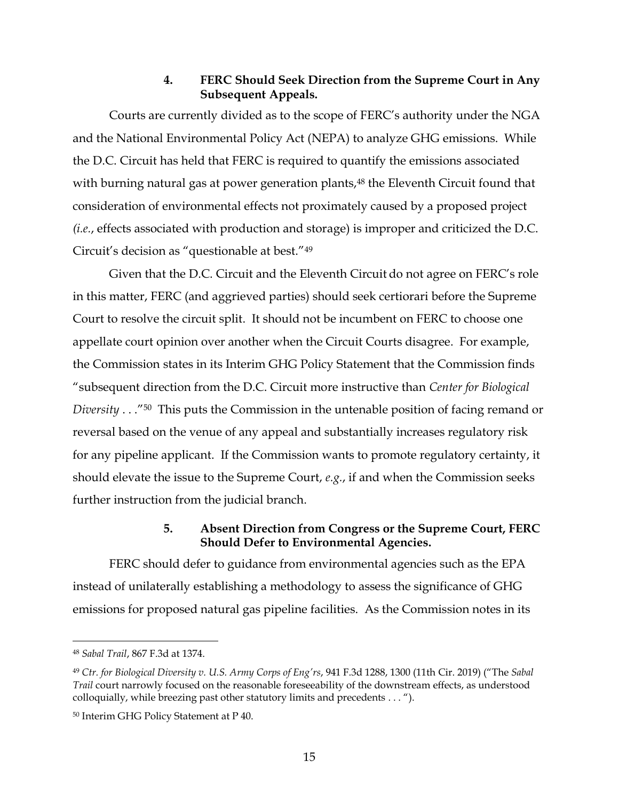## **4. FERC Should Seek Direction from the Supreme Court in Any Subsequent Appeals.**

Courts are currently divided as to the scope of FERC's authority under the NGA and the National Environmental Policy Act (NEPA) to analyze GHG emissions. While the D.C. Circuit has held that FERC is required to quantify the emissions associated with burning natural gas at power generation plants,<sup>48</sup> the Eleventh Circuit found that consideration of environmental effects not proximately caused by a proposed project *(i.e.*, effects associated with production and storage) is improper and criticized the D.C. Circuit's decision as "questionable at best."<sup>49</sup>

Given that the D.C. Circuit and the Eleventh Circuit do not agree on FERC's role in this matter, FERC (and aggrieved parties) should seek certiorari before the Supreme Court to resolve the circuit split. It should not be incumbent on FERC to choose one appellate court opinion over another when the Circuit Courts disagree. For example, the Commission states in its Interim GHG Policy Statement that the Commission finds "subsequent direction from the D.C. Circuit more instructive than *Center for Biological Diversity* . . ."50 This puts the Commission in the untenable position of facing remand or reversal based on the venue of any appeal and substantially increases regulatory risk for any pipeline applicant. If the Commission wants to promote regulatory certainty, it should elevate the issue to the Supreme Court, *e.g.*, if and when the Commission seeks further instruction from the judicial branch.

## **5. Absent Direction from Congress or the Supreme Court, FERC Should Defer to Environmental Agencies.**

FERC should defer to guidance from environmental agencies such as the EPA instead of unilaterally establishing a methodology to assess the significance of GHG emissions for proposed natural gas pipeline facilities. As the Commission notes in its

<sup>48</sup> *Sabal Trail*, 867 F.3d at 1374.

<sup>49</sup> *Ctr. for Biological Diversity v. U.S. Army Corps of Eng'rs*, 941 F.3d 1288, 1300 (11th Cir. 2019) ("The *Sabal Trail* court narrowly focused on the reasonable foreseeability of the downstream effects, as understood colloquially, while breezing past other statutory limits and precedents . . . ").

<sup>50</sup> Interim GHG Policy Statement at P 40.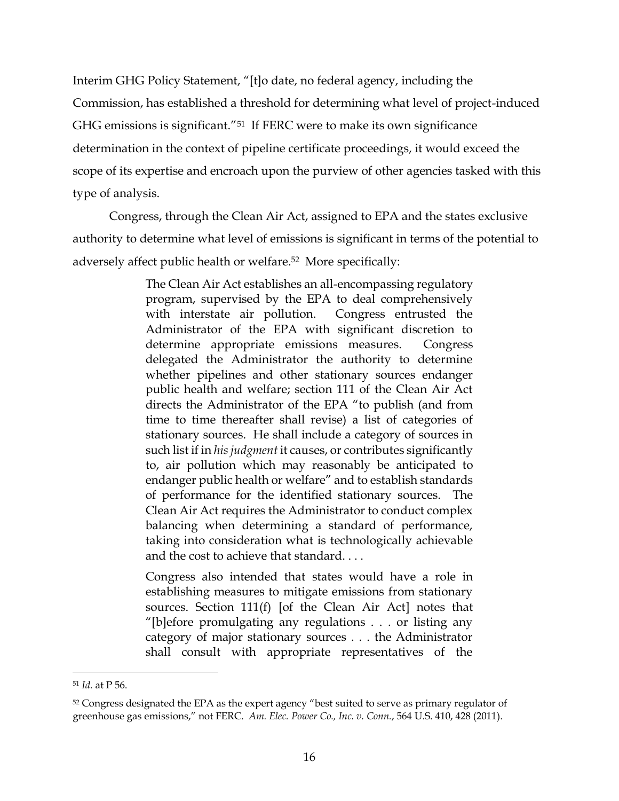Interim GHG Policy Statement, "[t]o date, no federal agency, including the Commission, has established a threshold for determining what level of project-induced GHG emissions is significant."<sup>51</sup> If FERC were to make its own significance determination in the context of pipeline certificate proceedings, it would exceed the scope of its expertise and encroach upon the purview of other agencies tasked with this type of analysis.

Congress, through the Clean Air Act, assigned to EPA and the states exclusive authority to determine what level of emissions is significant in terms of the potential to adversely affect public health or welfare.52 More specifically:

> The Clean Air Act establishes an all-encompassing regulatory program, supervised by the EPA to deal comprehensively with interstate air pollution. Congress entrusted the Administrator of the EPA with significant discretion to determine appropriate emissions measures. Congress delegated the Administrator the authority to determine whether pipelines and other stationary sources endanger public health and welfare; section 111 of the Clean Air Act directs the Administrator of the EPA "to publish (and from time to time thereafter shall revise) a list of categories of stationary sources. He shall include a category of sources in such list if in *his judgment* it causes, or contributes significantly to, air pollution which may reasonably be anticipated to endanger public health or welfare" and to establish standards of performance for the identified stationary sources. The Clean Air Act requires the Administrator to conduct complex balancing when determining a standard of performance, taking into consideration what is technologically achievable and the cost to achieve that standard. . . .

> Congress also intended that states would have a role in establishing measures to mitigate emissions from stationary sources. Section 111(f) [of the Clean Air Act] notes that "[b]efore promulgating any regulations . . . or listing any category of major stationary sources . . . the Administrator shall consult with appropriate representatives of the

<sup>51</sup> *Id.* at P 56.

<sup>&</sup>lt;sup>52</sup> Congress designated the EPA as the expert agency "best suited to serve as primary regulator of greenhouse gas emissions," not FERC. *Am. Elec. Power Co., Inc. v. Conn.*, 564 U.S. 410, 428 (2011).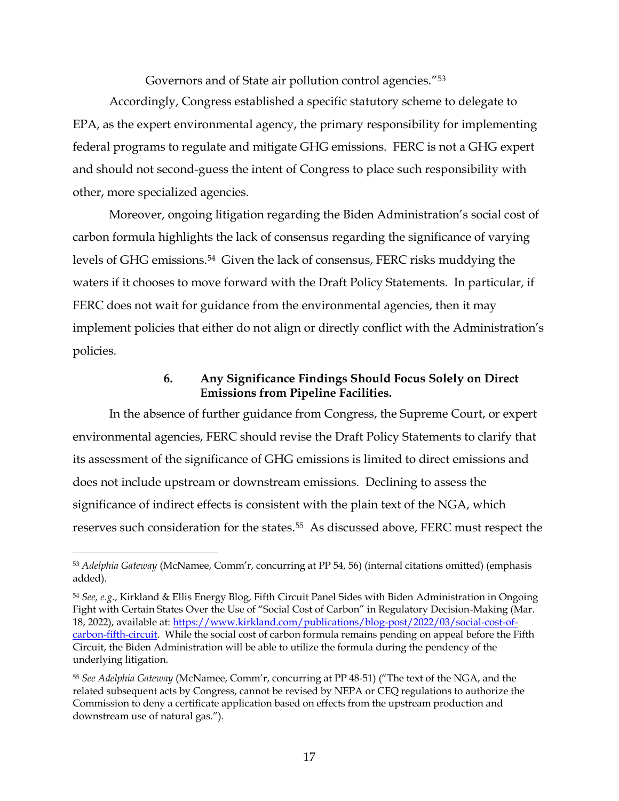Governors and of State air pollution control agencies."<sup>53</sup>

Accordingly, Congress established a specific statutory scheme to delegate to EPA, as the expert environmental agency, the primary responsibility for implementing federal programs to regulate and mitigate GHG emissions. FERC is not a GHG expert and should not second-guess the intent of Congress to place such responsibility with other, more specialized agencies.

Moreover, ongoing litigation regarding the Biden Administration's social cost of carbon formula highlights the lack of consensus regarding the significance of varying levels of GHG emissions. 54 Given the lack of consensus, FERC risks muddying the waters if it chooses to move forward with the Draft Policy Statements. In particular, if FERC does not wait for guidance from the environmental agencies, then it may implement policies that either do not align or directly conflict with the Administration's policies.

## **6. Any Significance Findings Should Focus Solely on Direct Emissions from Pipeline Facilities.**

In the absence of further guidance from Congress, the Supreme Court, or expert environmental agencies, FERC should revise the Draft Policy Statements to clarify that its assessment of the significance of GHG emissions is limited to direct emissions and does not include upstream or downstream emissions. Declining to assess the significance of indirect effects is consistent with the plain text of the NGA, which reserves such consideration for the states. <sup>55</sup> As discussed above, FERC must respect the

<sup>53</sup> *Adelphia Gateway* (McNamee, Comm'r, concurring at PP 54, 56) (internal citations omitted) (emphasis added).

<sup>54</sup> *See, e.g.*, Kirkland & Ellis Energy Blog, Fifth Circuit Panel Sides with Biden Administration in Ongoing Fight with Certain States Over the Use of "Social Cost of Carbon" in Regulatory Decision-Making (Mar. 18, 2022), available at: [https://www.kirkland.com/publications/blog-post/2022/03/social-cost-of](https://www.kirkland.com/publications/blog-post/2022/03/social-cost-of-carbon-fifth-circuit)[carbon-fifth-circuit.](https://www.kirkland.com/publications/blog-post/2022/03/social-cost-of-carbon-fifth-circuit) While the social cost of carbon formula remains pending on appeal before the Fifth Circuit, the Biden Administration will be able to utilize the formula during the pendency of the underlying litigation.

<sup>55</sup> *See Adelphia Gateway* (McNamee, Comm'r, concurring at PP 48-51) ("The text of the NGA, and the related subsequent acts by Congress, cannot be revised by NEPA or CEQ regulations to authorize the Commission to deny a certificate application based on effects from the upstream production and downstream use of natural gas.").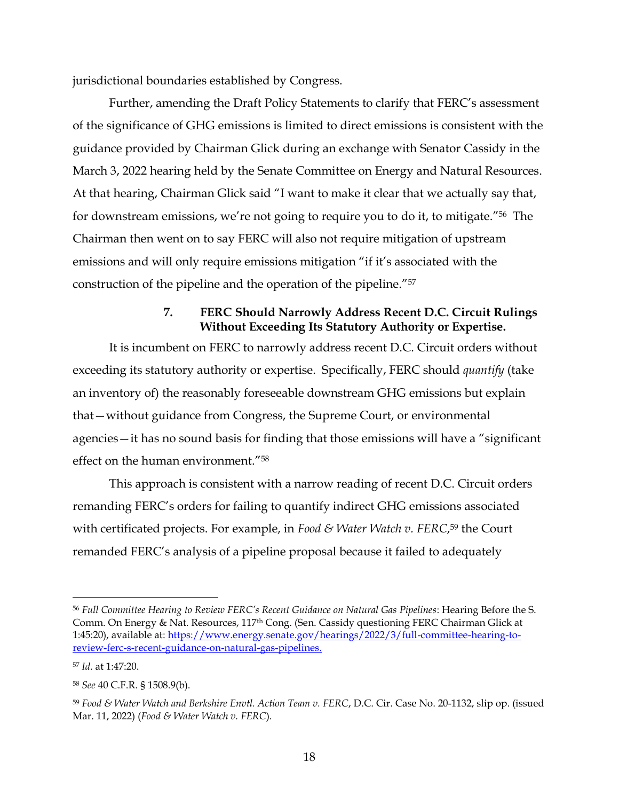jurisdictional boundaries established by Congress.

Further, amending the Draft Policy Statements to clarify that FERC's assessment of the significance of GHG emissions is limited to direct emissions is consistent with the guidance provided by Chairman Glick during an exchange with Senator Cassidy in the March 3, 2022 hearing held by the Senate Committee on Energy and Natural Resources. At that hearing, Chairman Glick said "I want to make it clear that we actually say that, for downstream emissions, we're not going to require you to do it, to mitigate."56 The Chairman then went on to say FERC will also not require mitigation of upstream emissions and will only require emissions mitigation "if it's associated with the construction of the pipeline and the operation of the pipeline."<sup>57</sup>

# **7. FERC Should Narrowly Address Recent D.C. Circuit Rulings Without Exceeding Its Statutory Authority or Expertise.**

It is incumbent on FERC to narrowly address recent D.C. Circuit orders without exceeding its statutory authority or expertise. Specifically, FERC should *quantify* (take an inventory of) the reasonably foreseeable downstream GHG emissions but explain that—without guidance from Congress, the Supreme Court, or environmental agencies—it has no sound basis for finding that those emissions will have a "significant effect on the human environment."<sup>58</sup>

This approach is consistent with a narrow reading of recent D.C. Circuit orders remanding FERC's orders for failing to quantify indirect GHG emissions associated with certificated projects. For example, in *Food & Water Watch v. FERC*, <sup>59</sup> the Court remanded FERC's analysis of a pipeline proposal because it failed to adequately

<sup>56</sup> *Full Committee Hearing to Review FERC's Recent Guidance on Natural Gas Pipelines*: Hearing Before the S. Comm. On Energy & Nat. Resources, 117th Cong. (Sen. Cassidy questioning FERC Chairman Glick at 1:45:20), available at: [https://www.energy.senate.gov/hearings/2022/3/full-committee-hearing-to](https://www.energy.senate.gov/hearings/2022/3/full-committee-hearing-to-review-ferc-s-recent-guidance-on-natural-gas-pipelines)[review-ferc-s-recent-guidance-on-natural-gas-pipelines.](https://www.energy.senate.gov/hearings/2022/3/full-committee-hearing-to-review-ferc-s-recent-guidance-on-natural-gas-pipelines)

<sup>57</sup> *Id*. at 1:47:20.

<sup>58</sup> *See* 40 C.F.R. § 1508.9(b).

<sup>59</sup> *Food & Water Watch and Berkshire Envtl. Action Team v. FERC*, D.C. Cir. Case No. 20-1132, slip op. (issued Mar. 11, 2022) (*Food & Water Watch v. FERC*).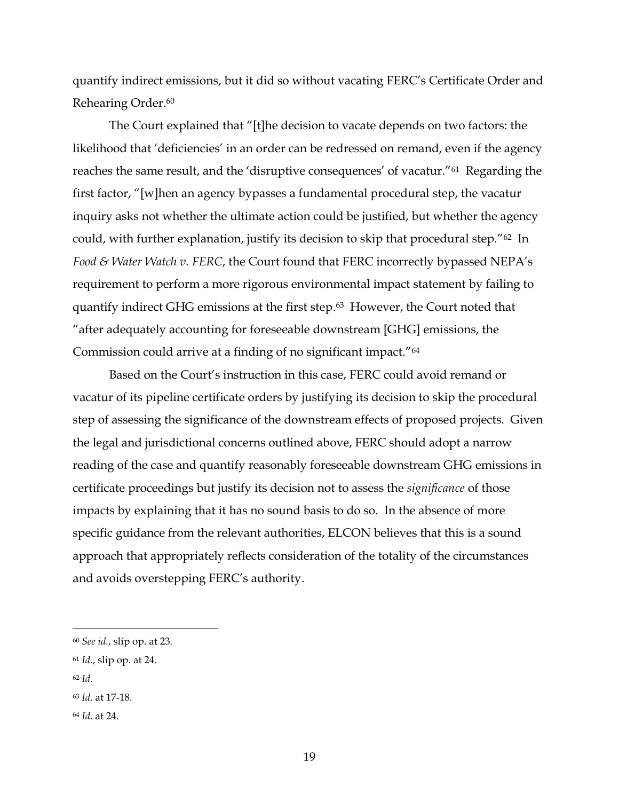quantify indirect emissions, but it did so without vacating FERC's Certificate Order and Rehearing Order.<sup>60</sup>

The Court explained that "[t]he decision to vacate depends on two factors: the likelihood that 'deficiencies' in an order can be redressed on remand, even if the agency reaches the same result, and the 'disruptive consequences' of vacatur."61 Regarding the first factor, "[w]hen an agency bypasses a fundamental procedural step, the vacatur inquiry asks not whether the ultimate action could be justified, but whether the agency could, with further explanation, justify its decision to skip that procedural step."62 In *Food & Water Watch v. FERC*, the Court found that FERC incorrectly bypassed NEPA's requirement to perform a more rigorous environmental impact statement by failing to quantify indirect GHG emissions at the first step. <sup>63</sup> However, the Court noted that "after adequately accounting for foreseeable downstream [GHG] emissions, the Commission could arrive at a finding of no significant impact."<sup>64</sup>

Based on the Court's instruction in this case, FERC could avoid remand or vacatur of its pipeline certificate orders by justifying its decision to skip the procedural step of assessing the significance of the downstream effects of proposed projects. Given the legal and jurisdictional concerns outlined above, FERC should adopt a narrow reading of the case and quantify reasonably foreseeable downstream GHG emissions in certificate proceedings but justify its decision not to assess the *significance* of those impacts by explaining that it has no sound basis to do so. In the absence of more specific guidance from the relevant authorities, ELCON believes that this is a sound approach that appropriately reflects consideration of the totality of the circumstances and avoids overstepping FERC's authority.

<sup>60</sup> *See id.*, slip op. at 23.

<sup>61</sup> *Id.*, slip op. at 24.

<sup>62</sup> *Id.*

<sup>63</sup> *Id.* at 17-18.

<sup>64</sup> *Id.* at 24.